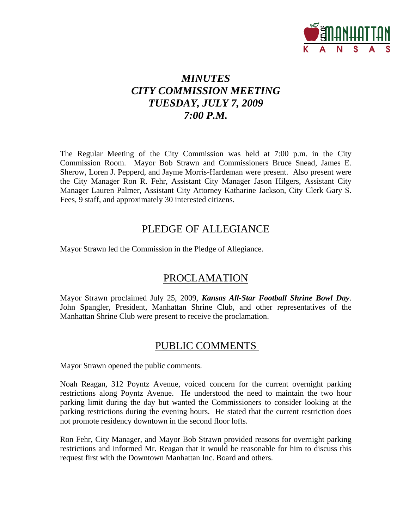

# *MINUTES CITY COMMISSION MEETING TUESDAY, JULY 7, 2009 7:00 P.M.*

The Regular Meeting of the City Commission was held at 7:00 p.m. in the City Commission Room. Mayor Bob Strawn and Commissioners Bruce Snead, James E. Sherow, Loren J. Pepperd, and Jayme Morris-Hardeman were present. Also present were the City Manager Ron R. Fehr, Assistant City Manager Jason Hilgers, Assistant City Manager Lauren Palmer, Assistant City Attorney Katharine Jackson, City Clerk Gary S. Fees, 9 staff, and approximately 30 interested citizens.

# PLEDGE OF ALLEGIANCE

Mayor Strawn led the Commission in the Pledge of Allegiance.

# PROCLAMATION

Mayor Strawn proclaimed July 25, 2009, *Kansas All-Star Football Shrine Bowl Day*. John Spangler, President, Manhattan Shrine Club, and other representatives of the Manhattan Shrine Club were present to receive the proclamation.

# PUBLIC COMMENTS

Mayor Strawn opened the public comments.

Noah Reagan, 312 Poyntz Avenue, voiced concern for the current overnight parking restrictions along Poyntz Avenue. He understood the need to maintain the two hour parking limit during the day but wanted the Commissioners to consider looking at the parking restrictions during the evening hours. He stated that the current restriction does not promote residency downtown in the second floor lofts.

Ron Fehr, City Manager, and Mayor Bob Strawn provided reasons for overnight parking restrictions and informed Mr. Reagan that it would be reasonable for him to discuss this request first with the Downtown Manhattan Inc. Board and others.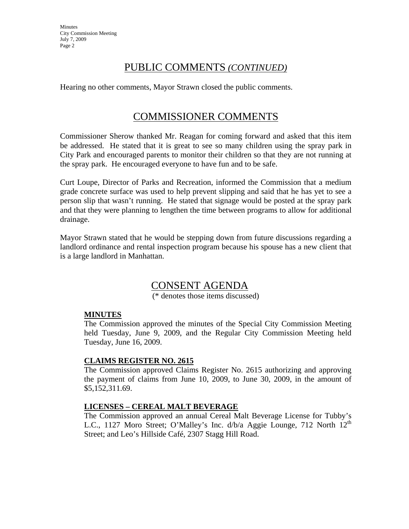**Minutes** City Commission Meeting July 7, 2009 Page 2

# PUBLIC COMMENTS *(CONTINUED)*

Hearing no other comments, Mayor Strawn closed the public comments.

# COMMISSIONER COMMENTS

Commissioner Sherow thanked Mr. Reagan for coming forward and asked that this item be addressed. He stated that it is great to see so many children using the spray park in City Park and encouraged parents to monitor their children so that they are not running at the spray park. He encouraged everyone to have fun and to be safe.

Curt Loupe, Director of Parks and Recreation, informed the Commission that a medium grade concrete surface was used to help prevent slipping and said that he has yet to see a person slip that wasn't running. He stated that signage would be posted at the spray park and that they were planning to lengthen the time between programs to allow for additional drainage.

Mayor Strawn stated that he would be stepping down from future discussions regarding a landlord ordinance and rental inspection program because his spouse has a new client that is a large landlord in Manhattan.

# CONSENT AGENDA

(\* denotes those items discussed)

### **MINUTES**

The Commission approved the minutes of the Special City Commission Meeting held Tuesday, June 9, 2009, and the Regular City Commission Meeting held Tuesday, June 16, 2009.

### **CLAIMS REGISTER NO. 2615**

The Commission approved Claims Register No. 2615 authorizing and approving the payment of claims from June 10, 2009, to June 30, 2009, in the amount of \$5,152,311.69.

### **LICENSES – CEREAL MALT BEVERAGE**

The Commission approved an annual Cereal Malt Beverage License for Tubby's L.C., 1127 Moro Street; O'Malley's Inc. d/b/a Aggie Lounge, 712 North 12<sup>th</sup> Street; and Leo's Hillside Café, 2307 Stagg Hill Road.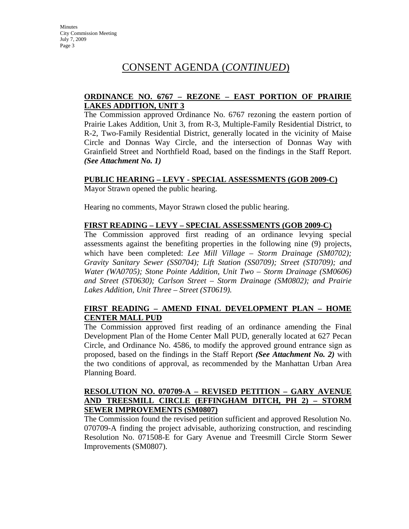#### **ORDINANCE NO. 6767 – REZONE – EAST PORTION OF PRAIRIE LAKES ADDITION, UNIT 3**

The Commission approved Ordinance No. 6767 rezoning the eastern portion of Prairie Lakes Addition, Unit 3, from R-3, Multiple-Family Residential District, to R-2, Two-Family Residential District, generally located in the vicinity of Maise Circle and Donnas Way Circle, and the intersection of Donnas Way with Grainfield Street and Northfield Road, based on the findings in the Staff Report. *(See Attachment No. 1)*

#### **PUBLIC HEARING – LEVY - SPECIAL ASSESSMENTS (GOB 2009-C)**

Mayor Strawn opened the public hearing.

Hearing no comments, Mayor Strawn closed the public hearing.

#### **FIRST READING – LEVY – SPECIAL ASSESSMENTS (GOB 2009-C)**

The Commission approved first reading of an ordinance levying special assessments against the benefiting properties in the following nine (9) projects, which have been completed: *Lee Mill Village – Storm Drainage (SM0702); Gravity Sanitary Sewer (SS0704); Lift Station (SS0709); Street (ST0709); and Water (WA0705); Stone Pointe Addition, Unit Two – Storm Drainage (SM0606) and Street (ST0630); Carlson Street – Storm Drainage (SM0802); and Prairie Lakes Addition, Unit Three – Street (ST0619).* 

### **FIRST READING – AMEND FINAL DEVELOPMENT PLAN – HOME CENTER MALL PUD**

The Commission approved first reading of an ordinance amending the Final Development Plan of the Home Center Mall PUD, generally located at 627 Pecan Circle, and Ordinance No. 4586, to modify the approved ground entrance sign as proposed, based on the findings in the Staff Report *(See Attachment No. 2)* with the two conditions of approval, as recommended by the Manhattan Urban Area Planning Board.

#### **RESOLUTION NO. 070709-A – REVISED PETITION – GARY AVENUE AND TREESMILL CIRCLE (EFFINGHAM DITCH, PH 2) – STORM SEWER IMPROVEMENTS (SM0807)**

The Commission found the revised petition sufficient and approved Resolution No. 070709-A finding the project advisable, authorizing construction, and rescinding Resolution No. 071508-E for Gary Avenue and Treesmill Circle Storm Sewer Improvements (SM0807).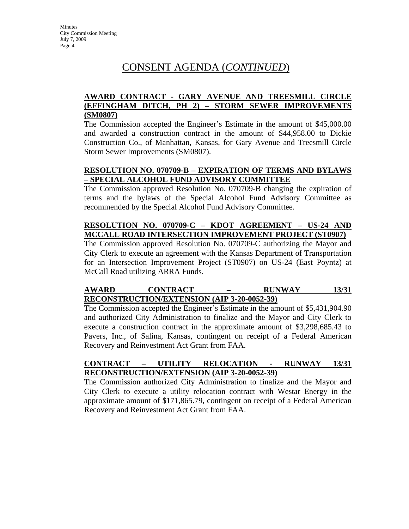### **AWARD CONTRACT - GARY AVENUE AND TREESMILL CIRCLE (EFFINGHAM DITCH, PH 2) – STORM SEWER IMPROVEMENTS (SM0807)**

The Commission accepted the Engineer's Estimate in the amount of \$45,000.00 and awarded a construction contract in the amount of \$44,958.00 to Dickie Construction Co., of Manhattan, Kansas, for Gary Avenue and Treesmill Circle Storm Sewer Improvements (SM0807).

### **RESOLUTION NO. 070709-B – EXPIRATION OF TERMS AND BYLAWS – SPECIAL ALCOHOL FUND ADVISORY COMMITTEE**

The Commission approved Resolution No. 070709-B changing the expiration of terms and the bylaws of the Special Alcohol Fund Advisory Committee as recommended by the Special Alcohol Fund Advisory Committee.

## **RESOLUTION NO. 070709-C – KDOT AGREEMENT – US-24 AND MCCALL ROAD INTERSECTION IMPROVEMENT PROJECT (ST0907)**

The Commission approved Resolution No. 070709-C authorizing the Mayor and City Clerk to execute an agreement with the Kansas Department of Transportation for an Intersection Improvement Project (ST0907) on US-24 (East Poyntz) at McCall Road utilizing ARRA Funds.

## **AWARD CONTRACT – RUNWAY 13/31 RECONSTRUCTION/EXTENSION (AIP 3-20-0052-39)**

The Commission accepted the Engineer's Estimate in the amount of \$5,431,904.90 and authorized City Administration to finalize and the Mayor and City Clerk to execute a construction contract in the approximate amount of \$3,298,685.43 to Pavers, Inc., of Salina, Kansas, contingent on receipt of a Federal American Recovery and Reinvestment Act Grant from FAA.

## **CONTRACT – UTILITY RELOCATION - RUNWAY 13/31 RECONSTRUCTION/EXTENSION (AIP 3-20-0052-39)**

The Commission authorized City Administration to finalize and the Mayor and City Clerk to execute a utility relocation contract with Westar Energy in the approximate amount of \$171,865.79, contingent on receipt of a Federal American Recovery and Reinvestment Act Grant from FAA.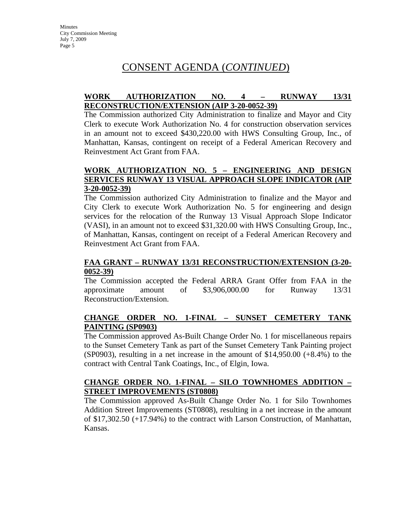#### **WORK AUTHORIZATION NO. 4 – RUNWAY 13/31 RECONSTRUCTION/EXTENSION (AIP 3-20-0052-39)**

The Commission authorized City Administration to finalize and Mayor and City Clerk to execute Work Authorization No. 4 for construction observation services in an amount not to exceed \$430,220.00 with HWS Consulting Group, Inc., of Manhattan, Kansas, contingent on receipt of a Federal American Recovery and Reinvestment Act Grant from FAA.

#### **WORK AUTHORIZATION NO. 5 – ENGINEERING AND DESIGN SERVICES RUNWAY 13 VISUAL APPROACH SLOPE INDICATOR (AIP 3-20-0052-39)**

The Commission authorized City Administration to finalize and the Mayor and City Clerk to execute Work Authorization No. 5 for engineering and design services for the relocation of the Runway 13 Visual Approach Slope Indicator (VASI), in an amount not to exceed \$31,320.00 with HWS Consulting Group, Inc., of Manhattan, Kansas, contingent on receipt of a Federal American Recovery and Reinvestment Act Grant from FAA.

### **FAA GRANT – RUNWAY 13/31 RECONSTRUCTION/EXTENSION (3-20- 0052-39)**

The Commission accepted the Federal ARRA Grant Offer from FAA in the approximate amount of \$3,906,000.00 for Runway 13/31 Reconstruction/Extension.

## **CHANGE ORDER NO. 1-FINAL – SUNSET CEMETERY TANK PAINTING (SP0903)**

The Commission approved As-Built Change Order No. 1 for miscellaneous repairs to the Sunset Cemetery Tank as part of the Sunset Cemetery Tank Painting project  $(SP0903)$ , resulting in a net increase in the amount of \$14,950.00  $(+8.4\%)$  to the contract with Central Tank Coatings, Inc., of Elgin, Iowa.

### **CHANGE ORDER NO. 1-FINAL – SILO TOWNHOMES ADDITION – STREET IMPROVEMENTS (ST0808)**

The Commission approved As-Built Change Order No. 1 for Silo Townhomes Addition Street Improvements (ST0808), resulting in a net increase in the amount of \$17,302.50 (+17.94%) to the contract with Larson Construction, of Manhattan, Kansas.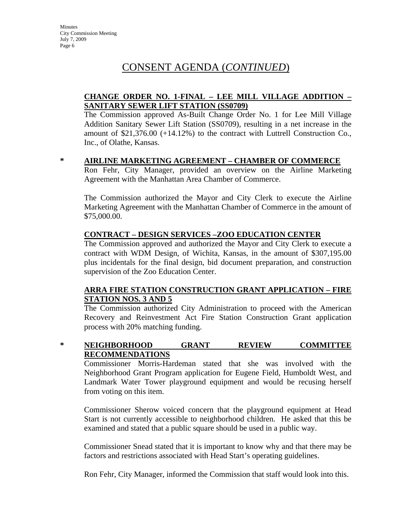### **CHANGE ORDER NO. 1-FINAL – LEE MILL VILLAGE ADDITION – SANITARY SEWER LIFT STATION (SS0709)**

The Commission approved As-Built Change Order No. 1 for Lee Mill Village Addition Sanitary Sewer Lift Station (SS0709), resulting in a net increase in the amount of \$21,376.00 (+14.12%) to the contract with Luttrell Construction Co., Inc., of Olathe, Kansas.

#### **\* AIRLINE MARKETING AGREEMENT – CHAMBER OF COMMERCE**

Ron Fehr, City Manager, provided an overview on the Airline Marketing Agreement with the Manhattan Area Chamber of Commerce.

The Commission authorized the Mayor and City Clerk to execute the Airline Marketing Agreement with the Manhattan Chamber of Commerce in the amount of \$75,000.00.

#### **CONTRACT – DESIGN SERVICES –ZOO EDUCATION CENTER**

The Commission approved and authorized the Mayor and City Clerk to execute a contract with WDM Design, of Wichita, Kansas, in the amount of \$307,195.00 plus incidentals for the final design, bid document preparation, and construction supervision of the Zoo Education Center.

#### **ARRA FIRE STATION CONSTRUCTION GRANT APPLICATION – FIRE STATION NOS. 3 AND 5**

The Commission authorized City Administration to proceed with the American Recovery and Reinvestment Act Fire Station Construction Grant application process with 20% matching funding.

### **\* NEIGHBORHOOD GRANT REVIEW COMMITTEE RECOMMENDATIONS**

Commissioner Morris-Hardeman stated that she was involved with the Neighborhood Grant Program application for Eugene Field, Humboldt West, and Landmark Water Tower playground equipment and would be recusing herself from voting on this item.

Commissioner Sherow voiced concern that the playground equipment at Head Start is not currently accessible to neighborhood children. He asked that this be examined and stated that a public square should be used in a public way.

Commissioner Snead stated that it is important to know why and that there may be factors and restrictions associated with Head Start's operating guidelines.

Ron Fehr, City Manager, informed the Commission that staff would look into this.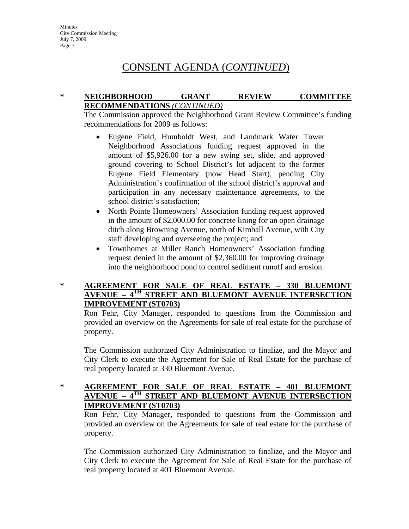#### **\* NEIGHBORHOOD GRANT REVIEW COMMITTEE RECOMMENDATIONS** *(CONTINUED)*

The Commission approved the Neighborhood Grant Review Committee's funding recommendations for 2009 as follows:

- Eugene Field, Humboldt West, and Landmark Water Tower Neighborhood Associations funding request approved in the amount of \$5,926.00 for a new swing set, slide, and approved ground covering to School District's lot adjacent to the former Eugene Field Elementary (now Head Start), pending City Administration's confirmation of the school district's approval and participation in any necessary maintenance agreements, to the school district's satisfaction;
- North Pointe Homeowners' Association funding request approved in the amount of \$2,000.00 for concrete lining for an open drainage ditch along Browning Avenue, north of Kimball Avenue, with City staff developing and overseeing the project; and
- Townhomes at Miller Ranch Homeowners' Association funding request denied in the amount of \$2,360.00 for improving drainage into the neighborhood pond to control sediment runoff and erosion.

### **\* AGREEMENT FOR SALE OF REAL ESTATE – 330 BLUEMONT AVENUE – 4TH STREET AND BLUEMONT AVENUE INTERSECTION IMPROVEMENT (ST0703)**

Ron Fehr, City Manager, responded to questions from the Commission and provided an overview on the Agreements for sale of real estate for the purchase of property.

The Commission authorized City Administration to finalize, and the Mayor and City Clerk to execute the Agreement for Sale of Real Estate for the purchase of real property located at 330 Bluemont Avenue.

#### **\* AGREEMENT FOR SALE OF REAL ESTATE – 401 BLUEMONT AVENUE – 4TH STREET AND BLUEMONT AVENUE INTERSECTION IMPROVEMENT (ST0703)**

Ron Fehr, City Manager, responded to questions from the Commission and provided an overview on the Agreements for sale of real estate for the purchase of property.

The Commission authorized City Administration to finalize, and the Mayor and City Clerk to execute the Agreement for Sale of Real Estate for the purchase of real property located at 401 Bluemont Avenue.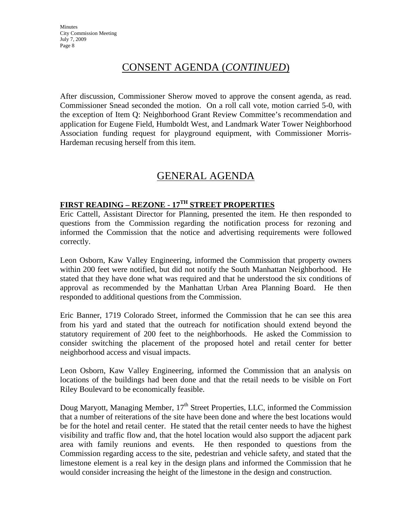After discussion, Commissioner Sherow moved to approve the consent agenda, as read. Commissioner Snead seconded the motion. On a roll call vote, motion carried 5-0, with the exception of Item Q: Neighborhood Grant Review Committee's recommendation and application for Eugene Field, Humboldt West, and Landmark Water Tower Neighborhood Association funding request for playground equipment, with Commissioner Morris-Hardeman recusing herself from this item.

# GENERAL AGENDA

## **FIRST READING – REZONE - 17TH STREET PROPERTIES**

Eric Cattell, Assistant Director for Planning, presented the item. He then responded to questions from the Commission regarding the notification process for rezoning and informed the Commission that the notice and advertising requirements were followed correctly.

Leon Osborn, Kaw Valley Engineering, informed the Commission that property owners within 200 feet were notified, but did not notify the South Manhattan Neighborhood. He stated that they have done what was required and that he understood the six conditions of approval as recommended by the Manhattan Urban Area Planning Board. He then responded to additional questions from the Commission.

Eric Banner, 1719 Colorado Street, informed the Commission that he can see this area from his yard and stated that the outreach for notification should extend beyond the statutory requirement of 200 feet to the neighborhoods. He asked the Commission to consider switching the placement of the proposed hotel and retail center for better neighborhood access and visual impacts.

Leon Osborn, Kaw Valley Engineering, informed the Commission that an analysis on locations of the buildings had been done and that the retail needs to be visible on Fort Riley Boulevard to be economically feasible.

Doug Maryott, Managing Member, 17<sup>th</sup> Street Properties, LLC, informed the Commission that a number of reiterations of the site have been done and where the best locations would be for the hotel and retail center. He stated that the retail center needs to have the highest visibility and traffic flow and, that the hotel location would also support the adjacent park area with family reunions and events. He then responded to questions from the Commission regarding access to the site, pedestrian and vehicle safety, and stated that the limestone element is a real key in the design plans and informed the Commission that he would consider increasing the height of the limestone in the design and construction.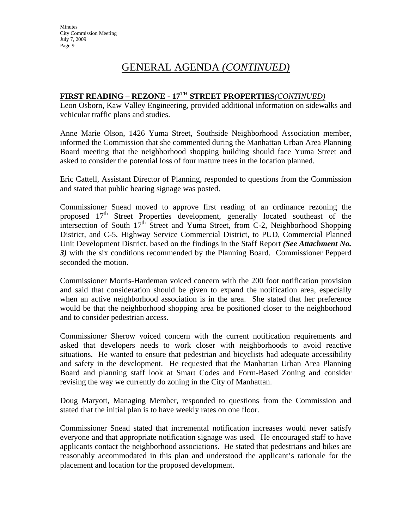# GENERAL AGENDA *(CONTINUED)*

## **FIRST READING – REZONE - 17TH STREET PROPERTIES***(CONTINUED)*

Leon Osborn, Kaw Valley Engineering, provided additional information on sidewalks and vehicular traffic plans and studies.

Anne Marie Olson, 1426 Yuma Street, Southside Neighborhood Association member, informed the Commission that she commented during the Manhattan Urban Area Planning Board meeting that the neighborhood shopping building should face Yuma Street and asked to consider the potential loss of four mature trees in the location planned.

Eric Cattell, Assistant Director of Planning, responded to questions from the Commission and stated that public hearing signage was posted.

Commissioner Snead moved to approve first reading of an ordinance rezoning the proposed  $17<sup>th</sup>$  Street Properties development, generally located southeast of the intersection of South  $17<sup>th</sup>$  Street and Yuma Street, from C-2, Neighborhood Shopping District, and C-5, Highway Service Commercial District, to PUD, Commercial Planned Unit Development District, based on the findings in the Staff Report *(See Attachment No. 3)* with the six conditions recommended by the Planning Board. Commissioner Pepperd seconded the motion.

Commissioner Morris-Hardeman voiced concern with the 200 foot notification provision and said that consideration should be given to expand the notification area, especially when an active neighborhood association is in the area. She stated that her preference would be that the neighborhood shopping area be positioned closer to the neighborhood and to consider pedestrian access.

Commissioner Sherow voiced concern with the current notification requirements and asked that developers needs to work closer with neighborhoods to avoid reactive situations. He wanted to ensure that pedestrian and bicyclists had adequate accessibility and safety in the development. He requested that the Manhattan Urban Area Planning Board and planning staff look at Smart Codes and Form-Based Zoning and consider revising the way we currently do zoning in the City of Manhattan.

Doug Maryott, Managing Member, responded to questions from the Commission and stated that the initial plan is to have weekly rates on one floor.

Commissioner Snead stated that incremental notification increases would never satisfy everyone and that appropriate notification signage was used. He encouraged staff to have applicants contact the neighborhood associations. He stated that pedestrians and bikes are reasonably accommodated in this plan and understood the applicant's rationale for the placement and location for the proposed development.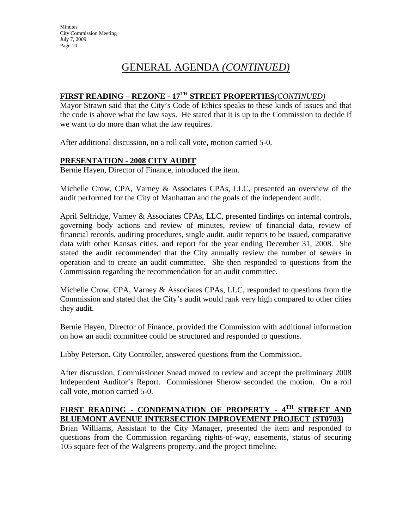# GENERAL AGENDA *(CONTINUED)*

## **FIRST READING – REZONE - 17TH STREET PROPERTIES***(CONTINUED)*

Mayor Strawn said that the City's Code of Ethics speaks to these kinds of issues and that the code is above what the law says. He stated that it is up to the Commission to decide if we want to do more than what the law requires.

After additional discussion, on a roll call vote, motion carried 5-0.

### **PRESENTATION - 2008 CITY AUDIT**

Bernie Hayen, Director of Finance, introduced the item.

Michelle Crow, CPA, Varney & Associates CPAs, LLC, presented an overview of the audit performed for the City of Manhattan and the goals of the independent audit.

April Selfridge, Varney & Associates CPAs, LLC, presented findings on internal controls, governing body actions and review of minutes, review of financial data, review of financial records, auditing procedures, single audit, audit reports to be issued, comparative data with other Kansas cities, and report for the year ending December 31, 2008. She stated the audit recommended that the City annually review the number of sewers in operation and to create an audit committee. She then responded to questions from the Commission regarding the recommendation for an audit committee.

Michelle Crow, CPA, Varney & Associates CPAs, LLC, responded to questions from the Commission and stated that the City's audit would rank very high compared to other cities they audit.

Bernie Hayen, Director of Finance, provided the Commission with additional information on how an audit committee could be structured and responded to questions.

Libby Peterson, City Controller, answered questions from the Commission.

After discussion, Commissioner Snead moved to review and accept the preliminary 2008 Independent Auditor's Report. Commissioner Sherow seconded the motion. On a roll call vote, motion carried 5-0.

### **FIRST READING - CONDEMNATION OF PROPERTY - 4TH STREET AND BLUEMONT AVENUE INTERSECTION IMPROVEMENT PROJECT (ST0703)**

Brian Williams, Assistant to the City Manager, presented the item and responded to questions from the Commission regarding rights-of-way, easements, status of securing 105 square feet of the Walgreens property, and the project timeline.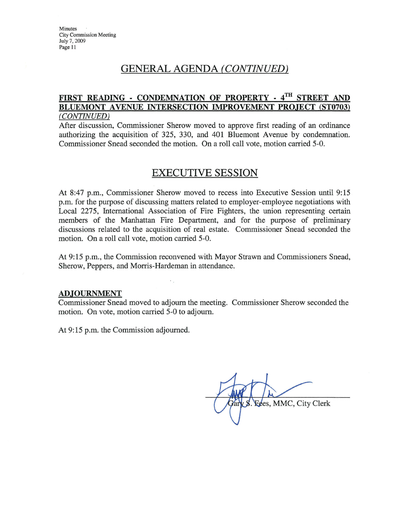## **GENERAL AGENDA (CONTINUED)**

#### FIRST READING - CONDEMNATION OF PROPERTY - 4TH STREET AND **BLUEMONT AVENUE INTERSECTION IMPROVEMENT** PROJECT (ST0703) (CONTINUED)

After discussion, Commissioner Sherow moved to approve first reading of an ordinance authorizing the acquisition of 325, 330, and 401 Bluemont Avenue by condemnation. Commissioner Snead seconded the motion. On a roll call vote, motion carried 5-0.

# **EXECUTIVE SESSION**

At 8:47 p.m., Commissioner Sherow moved to recess into Executive Session until 9:15 p.m. for the purpose of discussing matters related to employer-employee negotiations with Local 2275, International Association of Fire Fighters, the union representing certain members of the Manhattan Fire Department, and for the purpose of preliminary discussions related to the acquisition of real estate. Commissioner Snead seconded the motion. On a roll call vote, motion carried 5-0.

At 9:15 p.m., the Commission reconvened with Mayor Strawn and Commissioners Snead, Sherow, Peppers, and Morris-Hardeman in attendance.

#### **ADJOURNMENT**

Commissioner Snead moved to adjourn the meeting. Commissioner Sherow seconded the motion. On vote, motion carried 5-0 to adjourn.

At 9:15 p.m. the Commission adjourned.

Fees, MMC, City Clerk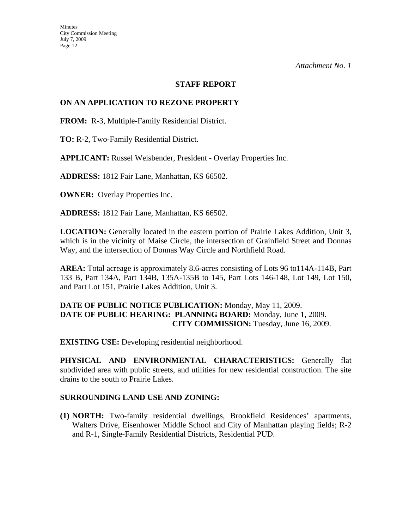#### **STAFF REPORT**

#### **ON AN APPLICATION TO REZONE PROPERTY**

**FROM:** R-3, Multiple-Family Residential District.

**TO:** R-2, Two-Family Residential District.

**APPLICANT:** Russel Weisbender, President **-** Overlay Properties Inc.

**ADDRESS:** 1812 Fair Lane, Manhattan, KS 66502.

**OWNER:** Overlay Properties Inc.

**ADDRESS:** 1812 Fair Lane, Manhattan, KS 66502.

**LOCATION:** Generally located in the eastern portion of Prairie Lakes Addition, Unit 3, which is in the vicinity of Maise Circle, the intersection of Grainfield Street and Donnas Way, and the intersection of Donnas Way Circle and Northfield Road.

**AREA:** Total acreage is approximately 8.6-acres consisting of Lots 96 to114A-114B, Part 133 B, Part 134A, Part 134B, 135A-135B to 145, Part Lots 146-148, Lot 149, Lot 150, and Part Lot 151, Prairie Lakes Addition, Unit 3.

#### **DATE OF PUBLIC NOTICE PUBLICATION:** Monday, May 11, 2009. **DATE OF PUBLIC HEARING: PLANNING BOARD:** Monday, June 1, 2009. **CITY COMMISSION:** Tuesday, June 16, 2009.

**EXISTING USE:** Developing residential neighborhood.

**PHYSICAL AND ENVIRONMENTAL CHARACTERISTICS:** Generally flat subdivided area with public streets, and utilities for new residential construction. The site drains to the south to Prairie Lakes.

#### **SURROUNDING LAND USE AND ZONING:**

**(1) NORTH:** Two-family residential dwellings, Brookfield Residences' apartments, Walters Drive, Eisenhower Middle School and City of Manhattan playing fields; R-2 and R-1, Single-Family Residential Districts, Residential PUD.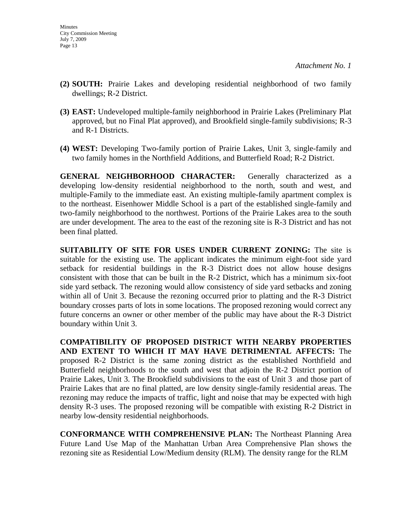- **(2) SOUTH:** Prairie Lakes and developing residential neighborhood of two family dwellings; R-2 District.
- **(3) EAST:** Undeveloped multiple-family neighborhood in Prairie Lakes (Preliminary Plat approved, but no Final Plat approved), and Brookfield single-family subdivisions; R-3 and R-1 Districts.
- **(4) WEST:** Developing Two-family portion of Prairie Lakes, Unit 3, single-family and two family homes in the Northfield Additions, and Butterfield Road; R-2 District.

**GENERAL NEIGHBORHOOD CHARACTER:** Generally characterized as a developing low-density residential neighborhood to the north, south and west, and multiple-Family to the immediate east. An existing multiple-family apartment complex is to the northeast. Eisenhower Middle School is a part of the established single-family and two-family neighborhood to the northwest. Portions of the Prairie Lakes area to the south are under development. The area to the east of the rezoning site is R-3 District and has not been final platted.

**SUITABILITY OF SITE FOR USES UNDER CURRENT ZONING:** The site is suitable for the existing use. The applicant indicates the minimum eight-foot side yard setback for residential buildings in the R-3 District does not allow house designs consistent with those that can be built in the R-2 District, which has a minimum six-foot side yard setback. The rezoning would allow consistency of side yard setbacks and zoning within all of Unit 3. Because the rezoning occurred prior to platting and the R-3 District boundary crosses parts of lots in some locations. The proposed rezoning would correct any future concerns an owner or other member of the public may have about the R-3 District boundary within Unit 3.

**COMPATIBILITY OF PROPOSED DISTRICT WITH NEARBY PROPERTIES AND EXTENT TO WHICH IT MAY HAVE DETRIMENTAL AFFECTS:** The proposed R-2 District is the same zoning district as the established Northfield and Butterfield neighborhoods to the south and west that adjoin the R-2 District portion of Prairie Lakes, Unit 3. The Brookfield subdivisions to the east of Unit 3 and those part of Prairie Lakes that are no final platted, are low density single-family residential areas. The rezoning may reduce the impacts of traffic, light and noise that may be expected with high density R-3 uses. The proposed rezoning will be compatible with existing R-2 District in nearby low-density residential neighborhoods.

**CONFORMANCE WITH COMPREHENSIVE PLAN:** The Northeast Planning Area Future Land Use Map of the Manhattan Urban Area Comprehensive Plan shows the rezoning site as Residential Low/Medium density (RLM). The density range for the RLM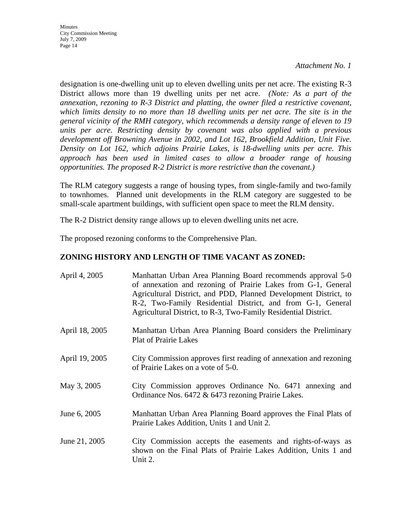**Minutes** City Commission Meeting July 7, 2009 Page 14

*Attachment No. 1* 

designation is one-dwelling unit up to eleven dwelling units per net acre. The existing R-3 District allows more than 19 dwelling units per net acre. *(Note: As a part of the annexation, rezoning to R-3 District and platting, the owner filed a restrictive covenant, which limits density to no more than 18 dwelling units per net acre. The site is in the general vicinity of the RMH category, which recommends a density range of eleven to 19 units per acre. Restricting density by covenant was also applied with a previous development off Browning Avenue in 2002, and Lot 162, Brookfield Addition, Unit Five. Density on Lot 162, which adjoins Prairie Lakes, is 18-dwelling units per acre. This approach has been used in limited cases to allow a broader range of housing opportunities. The proposed R-2 District is more restrictive than the covenant.)*

The RLM category suggests a range of housing types, from single-family and two-family to townhomes. Planned unit developments in the RLM category are suggested to be small-scale apartment buildings, with sufficient open space to meet the RLM density.

The R-2 District density range allows up to eleven dwelling units net acre.

The proposed rezoning conforms to the Comprehensive Plan.

### **ZONING HISTORY AND LENGTH OF TIME VACANT AS ZONED:**

| April 4, 2005  | Manhattan Urban Area Planning Board recommends approval 5-0<br>of annexation and rezoning of Prairie Lakes from G-1, General<br>Agricultural District, and PDD, Planned Development District, to<br>R-2, Two-Family Residential District, and from G-1, General<br>Agricultural District, to R-3, Two-Family Residential District. |
|----------------|------------------------------------------------------------------------------------------------------------------------------------------------------------------------------------------------------------------------------------------------------------------------------------------------------------------------------------|
| April 18, 2005 | Manhattan Urban Area Planning Board considers the Preliminary<br><b>Plat of Prairie Lakes</b>                                                                                                                                                                                                                                      |
| April 19, 2005 | City Commission approves first reading of annexation and rezoning<br>of Prairie Lakes on a vote of 5-0.                                                                                                                                                                                                                            |
| May 3, 2005    | City Commission approves Ordinance No. 6471 annexing and<br>Ordinance Nos. 6472 & 6473 rezoning Prairie Lakes.                                                                                                                                                                                                                     |
| June 6, 2005   | Manhattan Urban Area Planning Board approves the Final Plats of<br>Prairie Lakes Addition, Units 1 and Unit 2.                                                                                                                                                                                                                     |
| June 21, 2005  | City Commission accepts the easements and rights-of-ways as<br>shown on the Final Plats of Prairie Lakes Addition, Units 1 and<br>Unit 2.                                                                                                                                                                                          |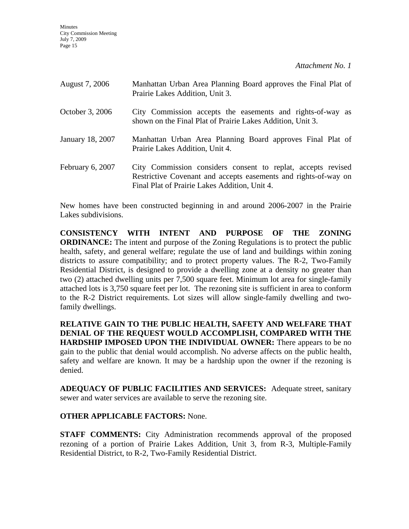| August 7, 2006   | Manhattan Urban Area Planning Board approves the Final Plat of<br>Prairie Lakes Addition, Unit 3.                                                                                |
|------------------|----------------------------------------------------------------------------------------------------------------------------------------------------------------------------------|
| October 3, 2006  | City Commission accepts the easements and rights-of-way as<br>shown on the Final Plat of Prairie Lakes Addition, Unit 3.                                                         |
| January 18, 2007 | Manhattan Urban Area Planning Board approves Final Plat of<br>Prairie Lakes Addition, Unit 4.                                                                                    |
| February 6, 2007 | City Commission considers consent to replat, accepts revised<br>Restrictive Covenant and accepts easements and rights-of-way on<br>Final Plat of Prairie Lakes Addition, Unit 4. |

New homes have been constructed beginning in and around 2006-2007 in the Prairie Lakes subdivisions.

**CONSISTENCY WITH INTENT AND PURPOSE OF THE ZONING ORDINANCE:** The intent and purpose of the Zoning Regulations is to protect the public health, safety, and general welfare; regulate the use of land and buildings within zoning districts to assure compatibility; and to protect property values. The R-2, Two-Family Residential District, is designed to provide a dwelling zone at a density no greater than two (2) attached dwelling units per 7,500 square feet. Minimum lot area for single-family attached lots is 3,750 square feet per lot. The rezoning site is sufficient in area to conform to the R-2 District requirements. Lot sizes will allow single-family dwelling and twofamily dwellings.

**RELATIVE GAIN TO THE PUBLIC HEALTH, SAFETY AND WELFARE THAT DENIAL OF THE REQUEST WOULD ACCOMPLISH, COMPARED WITH THE HARDSHIP IMPOSED UPON THE INDIVIDUAL OWNER:** There appears to be no gain to the public that denial would accomplish. No adverse affects on the public health, safety and welfare are known. It may be a hardship upon the owner if the rezoning is denied.

**ADEQUACY OF PUBLIC FACILITIES AND SERVICES:** Adequate street, sanitary sewer and water services are available to serve the rezoning site.

### **OTHER APPLICABLE FACTORS:** None.

**STAFF COMMENTS:** City Administration recommends approval of the proposed rezoning of a portion of Prairie Lakes Addition, Unit 3, from R-3, Multiple-Family Residential District, to R-2, Two-Family Residential District.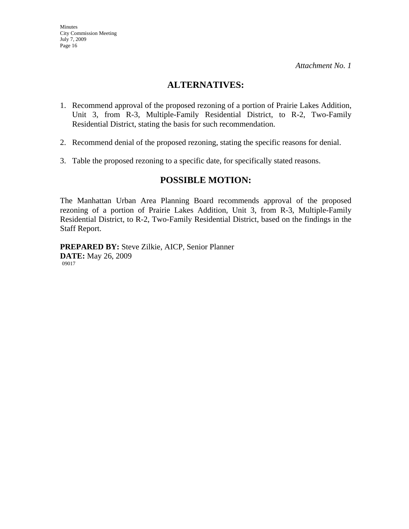Minutes

July 7, 2009 Page 16

City Commission Meeting

*Attachment No. 1* 

# **ALTERNATIVES:**

- 1. Recommend approval of the proposed rezoning of a portion of Prairie Lakes Addition, Unit 3, from R-3, Multiple-Family Residential District, to R-2, Two-Family Residential District, stating the basis for such recommendation.
- 2. Recommend denial of the proposed rezoning, stating the specific reasons for denial.
- 3. Table the proposed rezoning to a specific date, for specifically stated reasons.

## **POSSIBLE MOTION:**

The Manhattan Urban Area Planning Board recommends approval of the proposed rezoning of a portion of Prairie Lakes Addition, Unit 3, from R-3, Multiple-Family Residential District, to R-2, Two-Family Residential District, based on the findings in the Staff Report.

**PREPARED BY:** Steve Zilkie, AICP, Senior Planner **DATE:** May 26, 2009 09017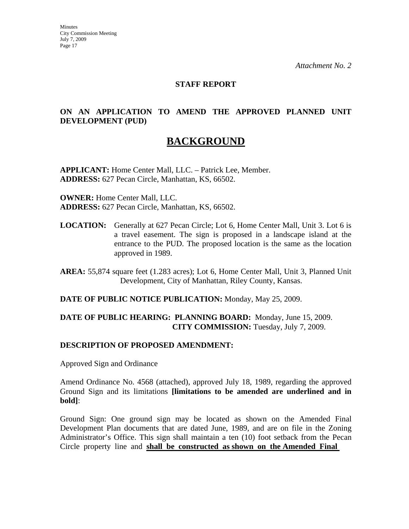#### **STAFF REPORT**

### **ON AN APPLICATION TO AMEND THE APPROVED PLANNED UNIT DEVELOPMENT (PUD)**

# **BACKGROUND**

**APPLICANT:** Home Center Mall, LLC. – Patrick Lee, Member. **ADDRESS:** 627 Pecan Circle, Manhattan, KS, 66502.

**OWNER:** Home Center Mall, LLC. **ADDRESS:** 627 Pecan Circle, Manhattan, KS, 66502.

**LOCATION:** Generally at 627 Pecan Circle; Lot 6, Home Center Mall, Unit 3. Lot 6 is a travel easement. The sign is proposed in a landscape island at the entrance to the PUD. The proposed location is the same as the location approved in 1989.

**AREA:** 55,874 square feet (1.283 acres); Lot 6, Home Center Mall, Unit 3, Planned Unit Development, City of Manhattan, Riley County, Kansas.

#### **DATE OF PUBLIC NOTICE PUBLICATION:** Monday, May 25, 2009.

### **DATE OF PUBLIC HEARING: PLANNING BOARD:** Monday, June 15, 2009. **CITY COMMISSION:** Tuesday, July 7, 2009.

#### **DESCRIPTION OF PROPOSED AMENDMENT:**

Approved Sign and Ordinance

Amend Ordinance No. 4568 (attached), approved July 18, 1989, regarding the approved Ground Sign and its limitations **[limitations to be amended are underlined and in bold]**:

Ground Sign: One ground sign may be located as shown on the Amended Final Development Plan documents that are dated June, 1989, and are on file in the Zoning Administrator's Office. This sign shall maintain a ten (10) foot setback from the Pecan Circle property line and **shall be constructed as shown on the Amended Final**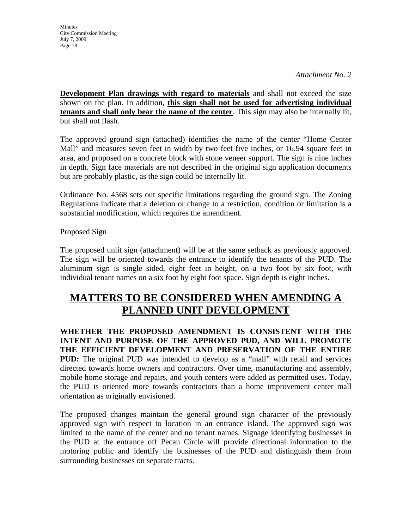**Minutes** City Commission Meeting July 7, 2009 Page 18

*Attachment No. 2* 

**Development Plan drawings with regard to materials** and shall not exceed the size shown on the plan. In addition, **this sign shall not be used for advertising individual tenants and shall only bear the name of the center**. This sign may also be internally lit, but shall not flash.

The approved ground sign (attached) identifies the name of the center "Home Center Mall" and measures seven feet in width by two feet five inches, or 16.94 square feet in area, and proposed on a concrete block with stone veneer support. The sign is nine inches in depth. Sign face materials are not described in the original sign application documents but are probably plastic, as the sign could be internally lit.

Ordinance No. 4568 sets out specific limitations regarding the ground sign. The Zoning Regulations indicate that a deletion or change to a restriction, condition or limitation is a substantial modification, which requires the amendment.

Proposed Sign

The proposed unlit sign (attachment) will be at the same setback as previously approved. The sign will be oriented towards the entrance to identify the tenants of the PUD. The aluminum sign is single sided, eight feet in height, on a two foot by six foot, with individual tenant names on a six foot by eight foot space. Sign depth is eight inches.

# **MATTERS TO BE CONSIDERED WHEN AMENDING A PLANNED UNIT DEVELOPMENT**

**WHETHER THE PROPOSED AMENDMENT IS CONSISTENT WITH THE INTENT AND PURPOSE OF THE APPROVED PUD, AND WILL PROMOTE THE EFFICIENT DEVELOPMENT AND PRESERVATION OF THE ENTIRE PUD:** The original PUD was intended to develop as a "mall" with retail and services directed towards home owners and contractors. Over time, manufacturing and assembly, mobile home storage and repairs, and youth centers were added as permitted uses. Today, the PUD is oriented more towards contractors than a home improvement center mall orientation as originally envisioned.

The proposed changes maintain the general ground sign character of the previously approved sign with respect to location in an entrance island. The approved sign was limited to the name of the center and no tenant names. Signage identifying businesses in the PUD at the entrance off Pecan Circle will provide directional information to the motoring public and identify the businesses of the PUD and distinguish them from surrounding businesses on separate tracts.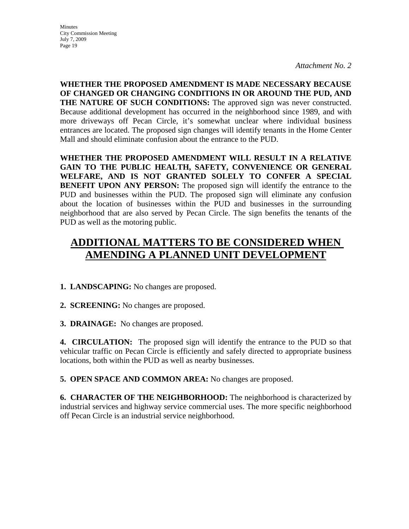**Minutes** City Commission Meeting July 7, 2009 Page 19

*Attachment No. 2* 

**WHETHER THE PROPOSED AMENDMENT IS MADE NECESSARY BECAUSE OF CHANGED OR CHANGING CONDITIONS IN OR AROUND THE PUD, AND THE NATURE OF SUCH CONDITIONS:** The approved sign was never constructed. Because additional development has occurred in the neighborhood since 1989, and with more driveways off Pecan Circle, it's somewhat unclear where individual business entrances are located. The proposed sign changes will identify tenants in the Home Center Mall and should eliminate confusion about the entrance to the PUD.

**WHETHER THE PROPOSED AMENDMENT WILL RESULT IN A RELATIVE GAIN TO THE PUBLIC HEALTH, SAFETY, CONVENIENCE OR GENERAL WELFARE, AND IS NOT GRANTED SOLELY TO CONFER A SPECIAL BENEFIT UPON ANY PERSON:** The proposed sign will identify the entrance to the PUD and businesses within the PUD. The proposed sign will eliminate any confusion about the location of businesses within the PUD and businesses in the surrounding neighborhood that are also served by Pecan Circle. The sign benefits the tenants of the PUD as well as the motoring public.

# **ADDITIONAL MATTERS TO BE CONSIDERED WHEN AMENDING A PLANNED UNIT DEVELOPMENT**

### **1. LANDSCAPING:** No changes are proposed.

**2. SCREENING:** No changes are proposed.

**3. DRAINAGE:** No changes are proposed.

**4. CIRCULATION:** The proposed sign will identify the entrance to the PUD so that vehicular traffic on Pecan Circle is efficiently and safely directed to appropriate business locations, both within the PUD as well as nearby businesses.

**5. OPEN SPACE AND COMMON AREA:** No changes are proposed.

**6. CHARACTER OF THE NEIGHBORHOOD:** The neighborhood is characterized by industrial services and highway service commercial uses. The more specific neighborhood off Pecan Circle is an industrial service neighborhood.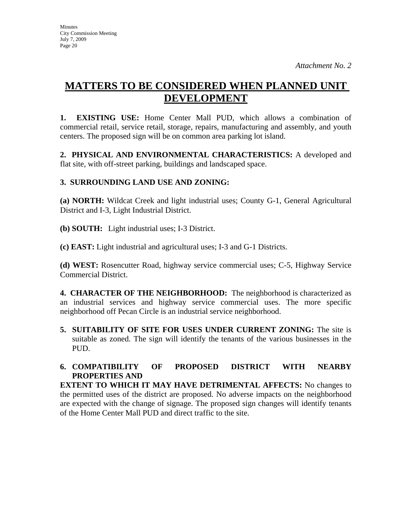# **MATTERS TO BE CONSIDERED WHEN PLANNED UNIT DEVELOPMENT**

**1. EXISTING USE:** Home Center Mall PUD, which allows a combination of commercial retail, service retail, storage, repairs, manufacturing and assembly, and youth centers. The proposed sign will be on common area parking lot island.

**2. PHYSICAL AND ENVIRONMENTAL CHARACTERISTICS:** A developed and flat site, with off-street parking, buildings and landscaped space.

## **3. SURROUNDING LAND USE AND ZONING:**

**(a) NORTH:** Wildcat Creek and light industrial uses; County G-1, General Agricultural District and I-3, Light Industrial District.

**(b) SOUTH:** Light industrial uses; I-3 District.

**(c) EAST:** Light industrial and agricultural uses; I-3 and G-1 Districts.

**(d) WEST:** Rosencutter Road, highway service commercial uses; C-5, Highway Service Commercial District.

**4. CHARACTER OF THE NEIGHBORHOOD:** The neighborhood is characterized as an industrial services and highway service commercial uses. The more specific neighborhood off Pecan Circle is an industrial service neighborhood.

**5. SUITABILITY OF SITE FOR USES UNDER CURRENT ZONING:** The site is suitable as zoned. The sign will identify the tenants of the various businesses in the PUD.

## **6. COMPATIBILITY OF PROPOSED DISTRICT WITH NEARBY PROPERTIES AND**

**EXTENT TO WHICH IT MAY HAVE DETRIMENTAL AFFECTS:** No changes to the permitted uses of the district are proposed. No adverse impacts on the neighborhood are expected with the change of signage. The proposed sign changes will identify tenants of the Home Center Mall PUD and direct traffic to the site.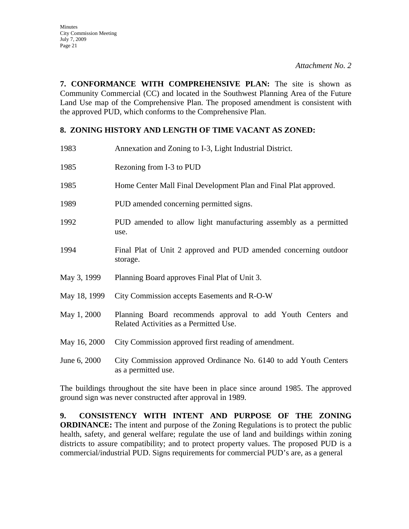**7. CONFORMANCE WITH COMPREHENSIVE PLAN:** The site is shown as Community Commercial (CC) and located in the Southwest Planning Area of the Future Land Use map of the Comprehensive Plan. The proposed amendment is consistent with the approved PUD, which conforms to the Comprehensive Plan.

### **8. ZONING HISTORY AND LENGTH OF TIME VACANT AS ZONED:**

| 1983         | Annexation and Zoning to I-3, Light Industrial District.                                              |
|--------------|-------------------------------------------------------------------------------------------------------|
| 1985         | Rezoning from I-3 to PUD                                                                              |
| 1985         | Home Center Mall Final Development Plan and Final Plat approved.                                      |
| 1989         | PUD amended concerning permitted signs.                                                               |
| 1992         | PUD amended to allow light manufacturing assembly as a permitted<br>use.                              |
| 1994         | Final Plat of Unit 2 approved and PUD amended concerning outdoor<br>storage.                          |
| May 3, 1999  | Planning Board approves Final Plat of Unit 3.                                                         |
| May 18, 1999 | City Commission accepts Easements and R-O-W                                                           |
| May 1, 2000  | Planning Board recommends approval to add Youth Centers and<br>Related Activities as a Permitted Use. |
| May 16, 2000 | City Commission approved first reading of amendment.                                                  |
| June 6, 2000 | City Commission approved Ordinance No. 6140 to add Youth Centers<br>as a permitted use.               |

The buildings throughout the site have been in place since around 1985. The approved ground sign was never constructed after approval in 1989.

**9. CONSISTENCY WITH INTENT AND PURPOSE OF THE ZONING ORDINANCE:** The intent and purpose of the Zoning Regulations is to protect the public health, safety, and general welfare; regulate the use of land and buildings within zoning districts to assure compatibility; and to protect property values. The proposed PUD is a commercial/industrial PUD. Signs requirements for commercial PUD's are, as a general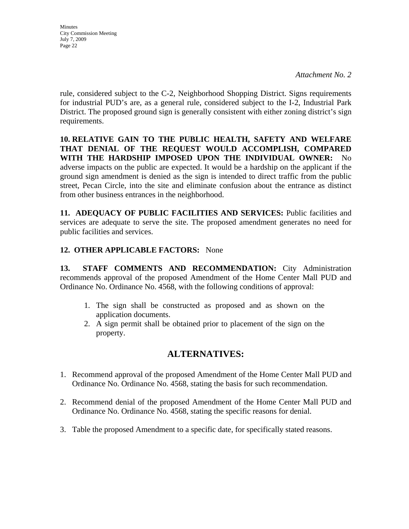**Minutes** City Commission Meeting July 7, 2009 Page 22

rule, considered subject to the C-2, Neighborhood Shopping District. Signs requirements for industrial PUD's are, as a general rule, considered subject to the I-2, Industrial Park District. The proposed ground sign is generally consistent with either zoning district's sign requirements.

**10. RELATIVE GAIN TO THE PUBLIC HEALTH, SAFETY AND WELFARE THAT DENIAL OF THE REQUEST WOULD ACCOMPLISH, COMPARED WITH THE HARDSHIP IMPOSED UPON THE INDIVIDUAL OWNER:** No adverse impacts on the public are expected. It would be a hardship on the applicant if the ground sign amendment is denied as the sign is intended to direct traffic from the public street, Pecan Circle, into the site and eliminate confusion about the entrance as distinct from other business entrances in the neighborhood.

**11. ADEQUACY OF PUBLIC FACILITIES AND SERVICES:** Public facilities and services are adequate to serve the site. The proposed amendment generates no need for public facilities and services.

## **12. OTHER APPLICABLE FACTORS:** None

**13. STAFF COMMENTS AND RECOMMENDATION:** City Administration recommends approval of the proposed Amendment of the Home Center Mall PUD and Ordinance No. Ordinance No. 4568, with the following conditions of approval:

- 1. The sign shall be constructed as proposed and as shown on the application documents.
- 2. A sign permit shall be obtained prior to placement of the sign on the property.

## **ALTERNATIVES:**

- 1. Recommend approval of the proposed Amendment of the Home Center Mall PUD and Ordinance No. Ordinance No. 4568, stating the basis for such recommendation.
- 2. Recommend denial of the proposed Amendment of the Home Center Mall PUD and Ordinance No. Ordinance No. 4568, stating the specific reasons for denial.
- 3. Table the proposed Amendment to a specific date, for specifically stated reasons.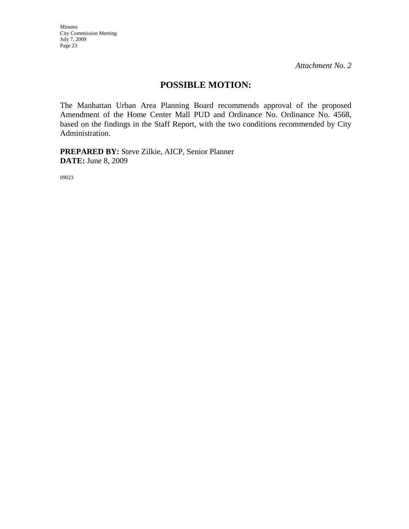Minutes City Commission Meeting July 7, 2009 Page 23

*Attachment No. 2* 

## **POSSIBLE MOTION:**

The Manhattan Urban Area Planning Board recommends approval of the proposed Amendment of the Home Center Mall PUD and Ordinance No. Ordinance No. 4568, based on the findings in the Staff Report, with the two conditions recommended by City Administration.

**PREPARED BY:** Steve Zilkie, AICP, Senior Planner **DATE:** June 8, 2009

09023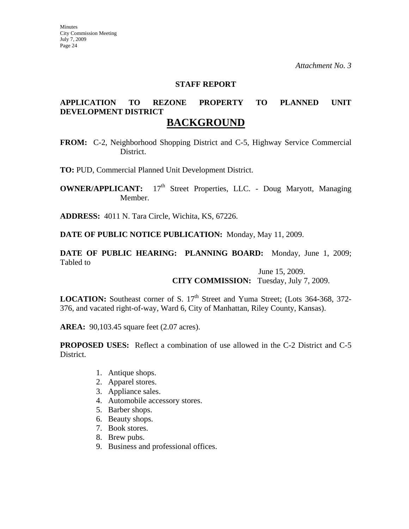#### **STAFF REPORT**

# **APPLICATION TO REZONE PROPERTY TO PLANNED UNIT DEVELOPMENT DISTRICT**

## **BACKGROUND**

**FROM:** C-2, Neighborhood Shopping District and C-5, Highway Service Commercial District.

**TO:** PUD, Commercial Planned Unit Development District.

**OWNER/APPLICANT:** 17<sup>th</sup> Street Properties, LLC. - Doug Maryott, Managing Member.

**ADDRESS:** 4011 N. Tara Circle, Wichita, KS, 67226.

**DATE OF PUBLIC NOTICE PUBLICATION:** Monday, May 11, 2009.

**DATE OF PUBLIC HEARING: PLANNING BOARD:** Monday, June 1, 2009; Tabled to

> June 15, 2009. **CITY COMMISSION:** Tuesday, July 7, 2009.

**LOCATION:** Southeast corner of S. 17<sup>th</sup> Street and Yuma Street; (Lots 364-368, 372-376, and vacated right-of-way, Ward 6, City of Manhattan, Riley County, Kansas).

**AREA:** 90,103.45 square feet (2.07 acres).

**PROPOSED USES:** Reflect a combination of use allowed in the C-2 District and C-5 District.

- 1. Antique shops.
- 2. Apparel stores.
- 3. Appliance sales.
- 4. Automobile accessory stores.
- 5. Barber shops.
- 6. Beauty shops.
- 7. Book stores.
- 8. Brew pubs.
- 9. Business and professional offices.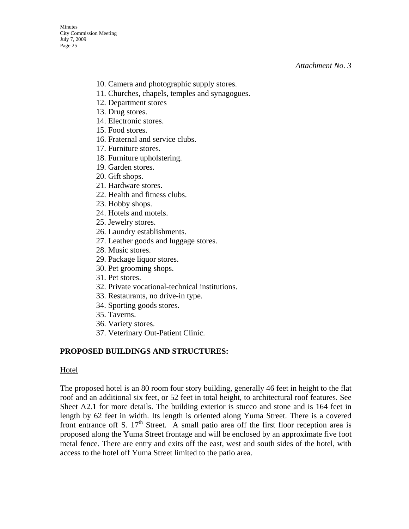- 10. Camera and photographic supply stores.
- 11. Churches, chapels, temples and synagogues.
- 12. Department stores
- 13. Drug stores.
- 14. Electronic stores.
- 15. Food stores.
- 16. Fraternal and service clubs.
- 17. Furniture stores.
- 18. Furniture upholstering.
- 19. Garden stores.
- 20. Gift shops.
- 21. Hardware stores.
- 22. Health and fitness clubs.
- 23. Hobby shops.
- 24. Hotels and motels.
- 25. Jewelry stores.
- 26. Laundry establishments.
- 27. Leather goods and luggage stores.
- 28. Music stores.
- 29. Package liquor stores.
- 30. Pet grooming shops.
- 31. Pet stores.
- 32. Private vocational-technical institutions.
- 33. Restaurants, no drive-in type.
- 34. Sporting goods stores.
- 35. Taverns.
- 36. Variety stores.
- 37. Veterinary Out-Patient Clinic.

### **PROPOSED BUILDINGS AND STRUCTURES:**

#### Hotel

The proposed hotel is an 80 room four story building, generally 46 feet in height to the flat roof and an additional six feet, or 52 feet in total height, to architectural roof features. See Sheet A2.1 for more details. The building exterior is stucco and stone and is 164 feet in length by 62 feet in width. Its length is oriented along Yuma Street. There is a covered front entrance off S.  $17<sup>th</sup>$  Street. A small patio area off the first floor reception area is proposed along the Yuma Street frontage and will be enclosed by an approximate five foot metal fence. There are entry and exits off the east, west and south sides of the hotel, with access to the hotel off Yuma Street limited to the patio area.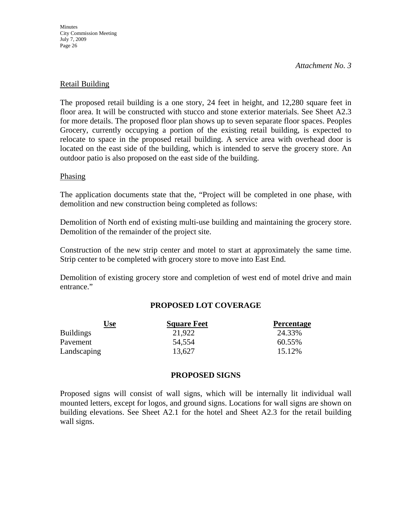**Minutes** City Commission Meeting July 7, 2009 Page 26

*Attachment No. 3* 

#### Retail Building

The proposed retail building is a one story, 24 feet in height, and 12,280 square feet in floor area. It will be constructed with stucco and stone exterior materials. See Sheet A2.3 for more details. The proposed floor plan shows up to seven separate floor spaces. Peoples Grocery, currently occupying a portion of the existing retail building, is expected to relocate to space in the proposed retail building. A service area with overhead door is located on the east side of the building, which is intended to serve the grocery store. An outdoor patio is also proposed on the east side of the building.

#### Phasing

The application documents state that the, "Project will be completed in one phase, with demolition and new construction being completed as follows:

Demolition of North end of existing multi-use building and maintaining the grocery store. Demolition of the remainder of the project site.

Construction of the new strip center and motel to start at approximately the same time. Strip center to be completed with grocery store to move into East End.

Demolition of existing grocery store and completion of west end of motel drive and main entrance."

### **PROPOSED LOT COVERAGE**

| Use              | <b>Square Feet</b> | <b>Percentage</b> |
|------------------|--------------------|-------------------|
| <b>Buildings</b> | 21,922             | 24.33%            |
| Pavement         | 54,554             | 60.55%            |
| Landscaping      | 13,627             | 15.12%            |

#### **PROPOSED SIGNS**

Proposed signs will consist of wall signs, which will be internally lit individual wall mounted letters, except for logos, and ground signs. Locations for wall signs are shown on building elevations. See Sheet A2.1 for the hotel and Sheet A2.3 for the retail building wall signs.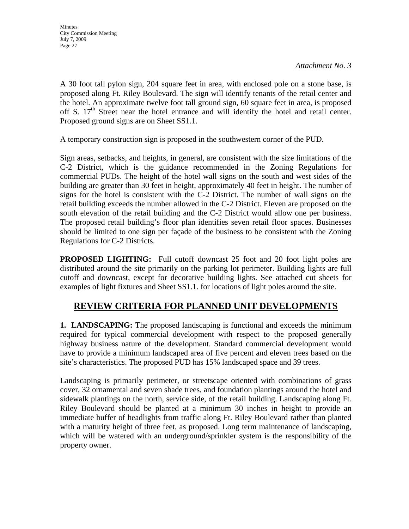A 30 foot tall pylon sign, 204 square feet in area, with enclosed pole on a stone base, is proposed along Ft. Riley Boulevard. The sign will identify tenants of the retail center and the hotel. An approximate twelve foot tall ground sign, 60 square feet in area, is proposed off S.  $17<sup>th</sup>$  Street near the hotel entrance and will identify the hotel and retail center. Proposed ground signs are on Sheet SS1.1.

A temporary construction sign is proposed in the southwestern corner of the PUD.

Sign areas, setbacks, and heights, in general, are consistent with the size limitations of the C-2 District, which is the guidance recommended in the Zoning Regulations for commercial PUDs. The height of the hotel wall signs on the south and west sides of the building are greater than 30 feet in height, approximately 40 feet in height. The number of signs for the hotel is consistent with the C-2 District. The number of wall signs on the retail building exceeds the number allowed in the C-2 District. Eleven are proposed on the south elevation of the retail building and the C-2 District would allow one per business. The proposed retail building's floor plan identifies seven retail floor spaces. Businesses should be limited to one sign per façade of the business to be consistent with the Zoning Regulations for C-2 Districts.

**PROPOSED LIGHTING:** Full cutoff downcast 25 foot and 20 foot light poles are distributed around the site primarily on the parking lot perimeter. Building lights are full cutoff and downcast, except for decorative building lights. See attached cut sheets for examples of light fixtures and Sheet SS1.1. for locations of light poles around the site.

## **REVIEW CRITERIA FOR PLANNED UNIT DEVELOPMENTS**

**1. LANDSCAPING:** The proposed landscaping is functional and exceeds the minimum required for typical commercial development with respect to the proposed generally highway business nature of the development. Standard commercial development would have to provide a minimum landscaped area of five percent and eleven trees based on the site's characteristics. The proposed PUD has 15% landscaped space and 39 trees.

Landscaping is primarily perimeter, or streetscape oriented with combinations of grass cover, 32 ornamental and seven shade trees, and foundation plantings around the hotel and sidewalk plantings on the north, service side, of the retail building. Landscaping along Ft. Riley Boulevard should be planted at a minimum 30 inches in height to provide an immediate buffer of headlights from traffic along Ft. Riley Boulevard rather than planted with a maturity height of three feet, as proposed. Long term maintenance of landscaping, which will be watered with an underground/sprinkler system is the responsibility of the property owner.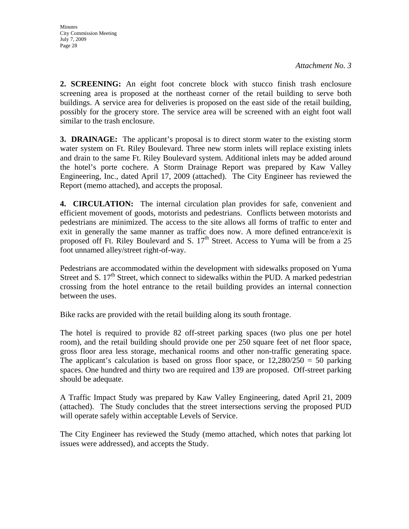**2. SCREENING:** An eight foot concrete block with stucco finish trash enclosure screening area is proposed at the northeast corner of the retail building to serve both buildings. A service area for deliveries is proposed on the east side of the retail building, possibly for the grocery store. The service area will be screened with an eight foot wall similar to the trash enclosure.

**3. DRAINAGE:** The applicant's proposal is to direct storm water to the existing storm water system on Ft. Riley Boulevard. Three new storm inlets will replace existing inlets and drain to the same Ft. Riley Boulevard system. Additional inlets may be added around the hotel's porte cochere. A Storm Drainage Report was prepared by Kaw Valley Engineering, Inc., dated April 17, 2009 (attached). The City Engineer has reviewed the Report (memo attached), and accepts the proposal.

**4. CIRCULATION:** The internal circulation plan provides for safe, convenient and efficient movement of goods, motorists and pedestrians. Conflicts between motorists and pedestrians are minimized. The access to the site allows all forms of traffic to enter and exit in generally the same manner as traffic does now. A more defined entrance/exit is proposed off Ft. Riley Boulevard and S.  $17<sup>th</sup>$  Street. Access to Yuma will be from a 25 foot unnamed alley/street right-of-way.

Pedestrians are accommodated within the development with sidewalks proposed on Yuma Street and S.  $17<sup>th</sup>$  Street, which connect to sidewalks within the PUD. A marked pedestrian crossing from the hotel entrance to the retail building provides an internal connection between the uses.

Bike racks are provided with the retail building along its south frontage.

The hotel is required to provide 82 off-street parking spaces (two plus one per hotel room), and the retail building should provide one per 250 square feet of net floor space, gross floor area less storage, mechanical rooms and other non-traffic generating space. The applicant's calculation is based on gross floor space, or  $12,280/250 = 50$  parking spaces. One hundred and thirty two are required and 139 are proposed. Off-street parking should be adequate.

A Traffic Impact Study was prepared by Kaw Valley Engineering, dated April 21, 2009 (attached). The Study concludes that the street intersections serving the proposed PUD will operate safely within acceptable Levels of Service.

The City Engineer has reviewed the Study (memo attached, which notes that parking lot issues were addressed), and accepts the Study.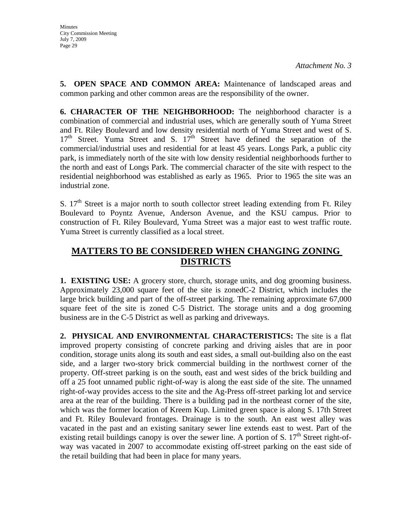**5. OPEN SPACE AND COMMON AREA:** Maintenance of landscaped areas and common parking and other common areas are the responsibility of the owner.

**6. CHARACTER OF THE NEIGHBORHOOD:** The neighborhood character is a combination of commercial and industrial uses, which are generally south of Yuma Street and Ft. Riley Boulevard and low density residential north of Yuma Street and west of S.  $17<sup>th</sup>$  Street. Yuma Street and S.  $17<sup>th</sup>$  Street have defined the separation of the commercial/industrial uses and residential for at least 45 years. Longs Park, a public city park, is immediately north of the site with low density residential neighborhoods further to the north and east of Longs Park. The commercial character of the site with respect to the residential neighborhood was established as early as 1965. Prior to 1965 the site was an industrial zone.

S.  $17<sup>th</sup>$  Street is a major north to south collector street leading extending from Ft. Riley Boulevard to Poyntz Avenue, Anderson Avenue, and the KSU campus. Prior to construction of Ft. Riley Boulevard, Yuma Street was a major east to west traffic route. Yuma Street is currently classified as a local street.

# **MATTERS TO BE CONSIDERED WHEN CHANGING ZONING DISTRICTS**

**1. EXISTING USE:** A grocery store, church, storage units, and dog grooming business. Approximately 23,000 square feet of the site is zonedC-2 District, which includes the large brick building and part of the off-street parking. The remaining approximate 67,000 square feet of the site is zoned C-5 District. The storage units and a dog grooming business are in the C-5 District as well as parking and driveways.

**2. PHYSICAL AND ENVIRONMENTAL CHARACTERISTICS:** The site is a flat improved property consisting of concrete parking and driving aisles that are in poor condition, storage units along its south and east sides, a small out-building also on the east side, and a larger two-story brick commercial building in the northwest corner of the property. Off-street parking is on the south, east and west sides of the brick building and off a 25 foot unnamed public right-of-way is along the east side of the site. The unnamed right-of-way provides access to the site and the Ag-Press off-street parking lot and service area at the rear of the building. There is a building pad in the northeast corner of the site, which was the former location of Kreem Kup. Limited green space is along S. 17th Street and Ft. Riley Boulevard frontages. Drainage is to the south. An east west alley was vacated in the past and an existing sanitary sewer line extends east to west. Part of the existing retail buildings canopy is over the sewer line. A portion of S.  $17<sup>th</sup>$  Street right-ofway was vacated in 2007 to accommodate existing off-street parking on the east side of the retail building that had been in place for many years.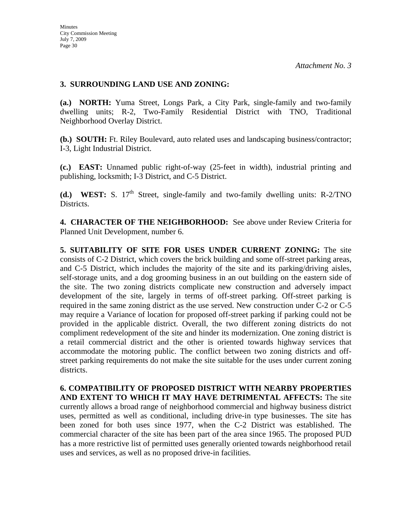### **3. SURROUNDING LAND USE AND ZONING:**

**(a.) NORTH:** Yuma Street, Longs Park, a City Park, single-family and two-family dwelling units; R-2, Two-Family Residential District with TNO, Traditional Neighborhood Overlay District.

**(b.) SOUTH:** Ft. Riley Boulevard, auto related uses and landscaping business/contractor; I-3, Light Industrial District.

**(c.) EAST:** Unnamed public right-of-way (25-feet in width), industrial printing and publishing, locksmith; I-3 District, and C-5 District.

**(d.) WEST:** S.  $17<sup>th</sup>$  Street, single-family and two-family dwelling units: R-2/TNO Districts.

**4. CHARACTER OF THE NEIGHBORHOOD:** See above under Review Criteria for Planned Unit Development, number 6.

**5. SUITABILITY OF SITE FOR USES UNDER CURRENT ZONING:** The site consists of C-2 District, which covers the brick building and some off-street parking areas, and C-5 District, which includes the majority of the site and its parking/driving aisles, self-storage units, and a dog grooming business in an out building on the eastern side of the site. The two zoning districts complicate new construction and adversely impact development of the site, largely in terms of off-street parking. Off-street parking is required in the same zoning district as the use served. New construction under C-2 or C-5 may require a Variance of location for proposed off-street parking if parking could not be provided in the applicable district. Overall, the two different zoning districts do not compliment redevelopment of the site and hinder its modernization. One zoning district is a retail commercial district and the other is oriented towards highway services that accommodate the motoring public. The conflict between two zoning districts and offstreet parking requirements do not make the site suitable for the uses under current zoning districts.

**6. COMPATIBILITY OF PROPOSED DISTRICT WITH NEARBY PROPERTIES AND EXTENT TO WHICH IT MAY HAVE DETRIMENTAL AFFECTS:** The site currently allows a broad range of neighborhood commercial and highway business district uses, permitted as well as conditional, including drive-in type businesses. The site has been zoned for both uses since 1977, when the C-2 District was established. The commercial character of the site has been part of the area since 1965. The proposed PUD has a more restrictive list of permitted uses generally oriented towards neighborhood retail uses and services, as well as no proposed drive-in facilities.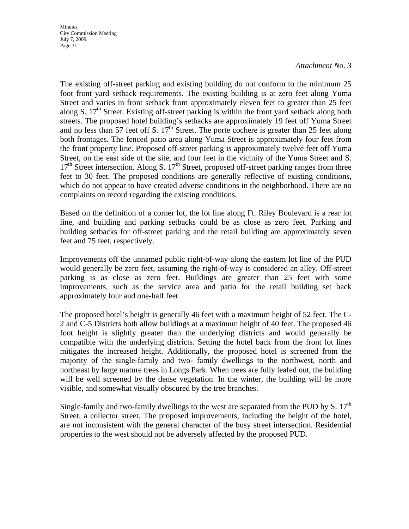**Minutes** City Commission Meeting July 7, 2009 Page 31

#### *Attachment No. 3*

The existing off-street parking and existing building do not conform to the minimum 25 foot front yard setback requirements. The existing building is at zero feet along Yuma Street and varies in front setback from approximately eleven feet to greater than 25 feet along S.  $17<sup>th</sup>$  Street. Existing off-street parking is within the front yard setback along both streets. The proposed hotel building's setbacks are approximately 19 feet off Yuma Street and no less than 57 feet off S.  $17<sup>th</sup>$  Street. The porte cochere is greater than 25 feet along both frontages. The fenced patio area along Yuma Street is approximately four feet from the front property line. Proposed off-street parking is approximately twelve feet off Yuma Street, on the east side of the site, and four feet in the vicinity of the Yuma Street and S.  $17<sup>th</sup>$  Street intersection. Along S.  $17<sup>th</sup>$  Street, proposed off-street parking ranges from three feet to 30 feet. The proposed conditions are generally reflective of existing conditions, which do not appear to have created adverse conditions in the neighborhood. There are no complaints on record regarding the existing conditions.

Based on the definition of a corner lot, the lot line along Ft. Riley Boulevard is a rear lot line, and building and parking setbacks could be as close as zero feet. Parking and building setbacks for off-street parking and the retail building are approximately seven feet and 75 feet, respectively.

Improvements off the unnamed public right-of-way along the eastern lot line of the PUD would generally be zero feet, assuming the right-of-way is considered an alley. Off-street parking is as close as zero feet. Buildings are greater than 25 feet with some improvements, such as the service area and patio for the retail building set back approximately four and one-half feet.

The proposed hotel's height is generally 46 feet with a maximum height of 52 feet. The C-2 and C-5 Districts both allow buildings at a maximum height of 40 feet. The proposed 46 foot height is slightly greater than the underlying districts and would generally be compatible with the underlying districts. Setting the hotel back from the front lot lines mitigates the increased height. Additionally, the proposed hotel is screened from the majority of the single-family and two- family dwellings to the northwest, north and northeast by large mature trees in Longs Park. When trees are fully leafed out, the building will be well screened by the dense vegetation. In the winter, the building will be more visible, and somewhat visually obscured by the tree branches.

Single-family and two-family dwellings to the west are separated from the PUD by S.  $17<sup>th</sup>$ Street, a collector street. The proposed improvements, including the height of the hotel, are not inconsistent with the general character of the busy street intersection. Residential properties to the west should not be adversely affected by the proposed PUD.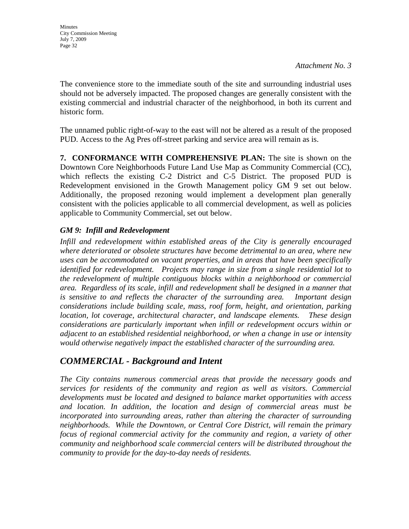The convenience store to the immediate south of the site and surrounding industrial uses should not be adversely impacted. The proposed changes are generally consistent with the existing commercial and industrial character of the neighborhood, in both its current and historic form.

The unnamed public right-of-way to the east will not be altered as a result of the proposed PUD. Access to the Ag Pres off-street parking and service area will remain as is.

**7. CONFORMANCE WITH COMPREHENSIVE PLAN:** The site is shown on the Downtown Core Neighborhoods Future Land Use Map as Community Commercial (CC), which reflects the existing C-2 District and C-5 District. The proposed PUD is Redevelopment envisioned in the Growth Management policy GM 9 set out below. Additionally, the proposed rezoning would implement a development plan generally consistent with the policies applicable to all commercial development, as well as policies applicable to Community Commercial, set out below.

## *GM 9: Infill and Redevelopment*

*Infill and redevelopment within established areas of the City is generally encouraged where deteriorated or obsolete structures have become detrimental to an area, where new uses can be accommodated on vacant properties, and in areas that have been specifically identified for redevelopment. Projects may range in size from a single residential lot to the redevelopment of multiple contiguous blocks within a neighborhood or commercial area. Regardless of its scale, infill and redevelopment shall be designed in a manner that is sensitive to and reflects the character of the surrounding area. Important design considerations include building scale, mass, roof form, height, and orientation, parking location, lot coverage, architectural character, and landscape elements. These design considerations are particularly important when infill or redevelopment occurs within or adjacent to an established residential neighborhood, or when a change in use or intensity would otherwise negatively impact the established character of the surrounding area.* 

# *COMMERCIAL - Background and Intent*

*The City contains numerous commercial areas that provide the necessary goods and services for residents of the community and region as well as visitors. Commercial developments must be located and designed to balance market opportunities with access and location. In addition, the location and design of commercial areas must be incorporated into surrounding areas, rather than altering the character of surrounding neighborhoods. While the Downtown, or Central Core District, will remain the primary focus of regional commercial activity for the community and region, a variety of other community and neighborhood scale commercial centers will be distributed throughout the community to provide for the day-to-day needs of residents.*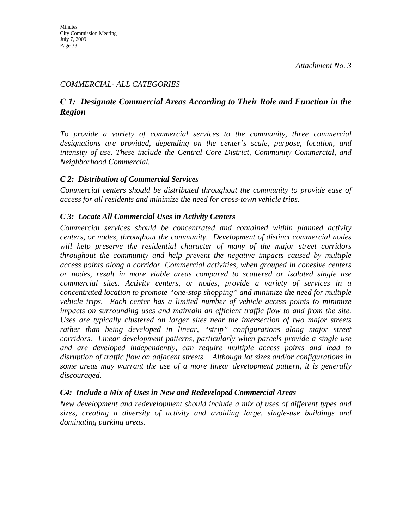### *COMMERCIAL- ALL CATEGORIES*

## *C 1: Designate Commercial Areas According to Their Role and Function in the Region*

*To provide a variety of commercial services to the community, three commercial designations are provided, depending on the center's scale, purpose, location, and intensity of use. These include the Central Core District, Community Commercial, and Neighborhood Commercial.* 

#### *C 2: Distribution of Commercial Services*

*Commercial centers should be distributed throughout the community to provide ease of access for all residents and minimize the need for cross-town vehicle trips.* 

#### *C 3: Locate All Commercial Uses in Activity Centers*

*Commercial services should be concentrated and contained within planned activity centers, or nodes, throughout the community. Development of distinct commercial nodes will help preserve the residential character of many of the major street corridors throughout the community and help prevent the negative impacts caused by multiple access points along a corridor. Commercial activities, when grouped in cohesive centers or nodes, result in more viable areas compared to scattered or isolated single use commercial sites. Activity centers, or nodes, provide a variety of services in a concentrated location to promote "one-stop shopping" and minimize the need for multiple vehicle trips. Each center has a limited number of vehicle access points to minimize*  impacts on surrounding uses and maintain an efficient traffic flow to and from the site. *Uses are typically clustered on larger sites near the intersection of two major streets*  rather than being developed in linear, "strip" configurations along major street *corridors. Linear development patterns, particularly when parcels provide a single use and are developed independently, can require multiple access points and lead to disruption of traffic flow on adjacent streets. Although lot sizes and/or configurations in some areas may warrant the use of a more linear development pattern, it is generally discouraged.* 

### *C4: Include a Mix of Uses in New and Redeveloped Commercial Areas*

*New development and redevelopment should include a mix of uses of different types and sizes, creating a diversity of activity and avoiding large, single-use buildings and dominating parking areas.*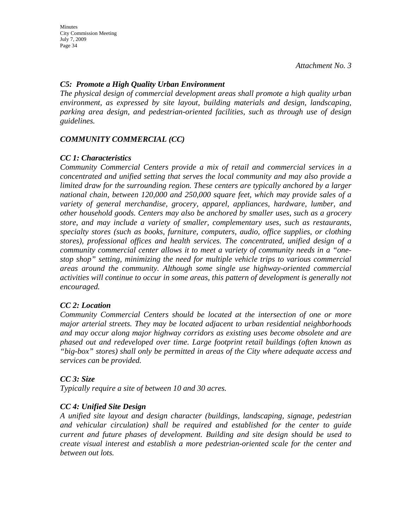### *C5: Promote a High Quality Urban Environment*

*The physical design of commercial development areas shall promote a high quality urban environment, as expressed by site layout, building materials and design, landscaping, parking area design, and pedestrian-oriented facilities, such as through use of design guidelines.* 

### *COMMUNITY COMMERCIAL (CC)*

#### *CC 1: Characteristics*

*Community Commercial Centers provide a mix of retail and commercial services in a concentrated and unified setting that serves the local community and may also provide a limited draw for the surrounding region. These centers are typically anchored by a larger national chain, between 120,000 and 250,000 square feet, which may provide sales of a variety of general merchandise, grocery, apparel, appliances, hardware, lumber, and other household goods. Centers may also be anchored by smaller uses, such as a grocery store, and may include a variety of smaller, complementary uses, such as restaurants, specialty stores (such as books, furniture, computers, audio, office supplies, or clothing stores), professional offices and health services. The concentrated, unified design of a community commercial center allows it to meet a variety of community needs in a "onestop shop" setting, minimizing the need for multiple vehicle trips to various commercial areas around the community. Although some single use highway-oriented commercial activities will continue to occur in some areas, this pattern of development is generally not encouraged.* 

#### *CC 2: Location*

*Community Commercial Centers should be located at the intersection of one or more major arterial streets. They may be located adjacent to urban residential neighborhoods and may occur along major highway corridors as existing uses become obsolete and are phased out and redeveloped over time. Large footprint retail buildings (often known as "big-box" stores) shall only be permitted in areas of the City where adequate access and services can be provided.* 

#### *CC 3: Size*

*Typically require a site of between 10 and 30 acres.* 

### *CC 4: Unified Site Design*

*A unified site layout and design character (buildings, landscaping, signage, pedestrian and vehicular circulation) shall be required and established for the center to guide current and future phases of development. Building and site design should be used to create visual interest and establish a more pedestrian-oriented scale for the center and between out lots.*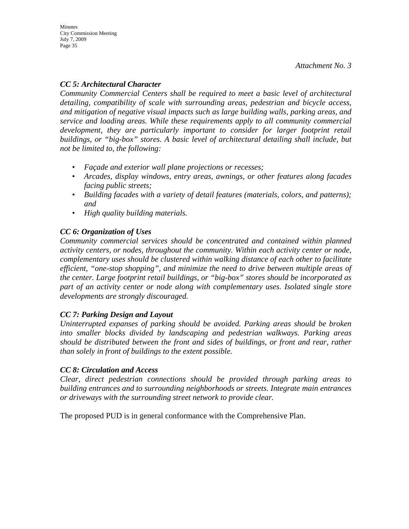## *CC 5: Architectural Character*

*Community Commercial Centers shall be required to meet a basic level of architectural detailing, compatibility of scale with surrounding areas, pedestrian and bicycle access, and mitigation of negative visual impacts such as large building walls, parking areas, and service and loading areas. While these requirements apply to all community commercial*  development, they are particularly important to consider for larger footprint retail *buildings, or "big-box" stores. A basic level of architectural detailing shall include, but not be limited to, the following:* 

- *Façade and exterior wall plane projections or recesses;*
- *Arcades, display windows, entry areas, awnings, or other features along facades facing public streets;*
- *Building facades with a variety of detail features (materials, colors, and patterns); and*
- *High quality building materials.*

## *CC 6: Organization of Uses*

*Community commercial services should be concentrated and contained within planned activity centers, or nodes, throughout the community. Within each activity center or node, complementary uses should be clustered within walking distance of each other to facilitate efficient, "one-stop shopping", and minimize the need to drive between multiple areas of the center. Large footprint retail buildings, or "big-box" stores should be incorporated as part of an activity center or node along with complementary uses. Isolated single store developments are strongly discouraged.* 

### *CC 7: Parking Design and Layout*

*Uninterrupted expanses of parking should be avoided. Parking areas should be broken into smaller blocks divided by landscaping and pedestrian walkways. Parking areas should be distributed between the front and sides of buildings, or front and rear, rather than solely in front of buildings to the extent possible.* 

### *CC 8: Circulation and Access*

*Clear, direct pedestrian connections should be provided through parking areas to building entrances and to surrounding neighborhoods or streets. Integrate main entrances or driveways with the surrounding street network to provide clear.* 

The proposed PUD is in general conformance with the Comprehensive Plan.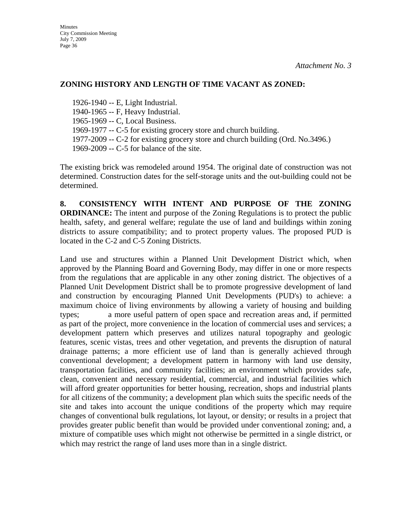#### **ZONING HISTORY AND LENGTH OF TIME VACANT AS ZONED:**

1926-1940 -- E, Light Industrial. 1940-1965 -- F, Heavy Industrial. 1965-1969 -- C, Local Business. 1969-1977 -- C-5 for existing grocery store and church building. 1977-2009 -- C-2 for existing grocery store and church building (Ord. No.3496.) 1969-2009 -- C-5 for balance of the site.

The existing brick was remodeled around 1954. The original date of construction was not determined. Construction dates for the self-storage units and the out-building could not be determined.

**8. CONSISTENCY WITH INTENT AND PURPOSE OF THE ZONING ORDINANCE:** The intent and purpose of the Zoning Regulations is to protect the public health, safety, and general welfare; regulate the use of land and buildings within zoning districts to assure compatibility; and to protect property values. The proposed PUD is located in the C-2 and C-5 Zoning Districts.

Land use and structures within a Planned Unit Development District which, when approved by the Planning Board and Governing Body, may differ in one or more respects from the regulations that are applicable in any other zoning district. The objectives of a Planned Unit Development District shall be to promote progressive development of land and construction by encouraging Planned Unit Developments (PUD's) to achieve: a maximum choice of living environments by allowing a variety of housing and building types; a more useful pattern of open space and recreation areas and, if permitted as part of the project, more convenience in the location of commercial uses and services; a development pattern which preserves and utilizes natural topography and geologic features, scenic vistas, trees and other vegetation, and prevents the disruption of natural drainage patterns; a more efficient use of land than is generally achieved through conventional development; a development pattern in harmony with land use density, transportation facilities, and community facilities; an environment which provides safe, clean, convenient and necessary residential, commercial, and industrial facilities which will afford greater opportunities for better housing, recreation, shops and industrial plants for all citizens of the community; a development plan which suits the specific needs of the site and takes into account the unique conditions of the property which may require changes of conventional bulk regulations, lot layout, or density; or results in a project that provides greater public benefit than would be provided under conventional zoning; and, a mixture of compatible uses which might not otherwise be permitted in a single district, or which may restrict the range of land uses more than in a single district.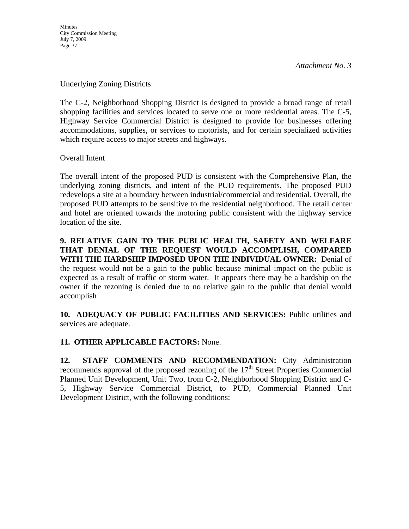#### Underlying Zoning Districts

The C-2, Neighborhood Shopping District is designed to provide a broad range of retail shopping facilities and services located to serve one or more residential areas. The C-5, Highway Service Commercial District is designed to provide for businesses offering accommodations, supplies, or services to motorists, and for certain specialized activities which require access to major streets and highways.

Overall Intent

The overall intent of the proposed PUD is consistent with the Comprehensive Plan, the underlying zoning districts, and intent of the PUD requirements. The proposed PUD redevelops a site at a boundary between industrial/commercial and residential. Overall, the proposed PUD attempts to be sensitive to the residential neighborhood. The retail center and hotel are oriented towards the motoring public consistent with the highway service location of the site.

**9. RELATIVE GAIN TO THE PUBLIC HEALTH, SAFETY AND WELFARE THAT DENIAL OF THE REQUEST WOULD ACCOMPLISH, COMPARED WITH THE HARDSHIP IMPOSED UPON THE INDIVIDUAL OWNER:** Denial of the request would not be a gain to the public because minimal impact on the public is expected as a result of traffic or storm water. It appears there may be a hardship on the owner if the rezoning is denied due to no relative gain to the public that denial would accomplish

**10. ADEQUACY OF PUBLIC FACILITIES AND SERVICES:** Public utilities and services are adequate.

### **11. OTHER APPLICABLE FACTORS:** None.

**12. STAFF COMMENTS AND RECOMMENDATION:** City Administration recommends approval of the proposed rezoning of the  $17<sup>th</sup>$  Street Properties Commercial Planned Unit Development, Unit Two, from C-2, Neighborhood Shopping District and C-5, Highway Service Commercial District, to PUD, Commercial Planned Unit Development District, with the following conditions: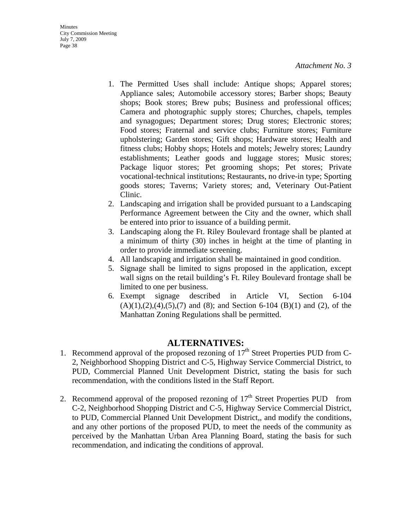- 1. The Permitted Uses shall include: Antique shops; Apparel stores; Appliance sales; Automobile accessory stores; Barber shops; Beauty shops; Book stores; Brew pubs; Business and professional offices; Camera and photographic supply stores; Churches, chapels, temples and synagogues; Department stores; Drug stores; Electronic stores; Food stores; Fraternal and service clubs; Furniture stores; Furniture upholstering; Garden stores; Gift shops; Hardware stores; Health and fitness clubs; Hobby shops; Hotels and motels; Jewelry stores; Laundry establishments; Leather goods and luggage stores; Music stores; Package liquor stores; Pet grooming shops; Pet stores; Private vocational-technical institutions; Restaurants, no drive-in type; Sporting goods stores; Taverns; Variety stores; and, Veterinary Out-Patient Clinic.
- 2. Landscaping and irrigation shall be provided pursuant to a Landscaping Performance Agreement between the City and the owner, which shall be entered into prior to issuance of a building permit.
- 3. Landscaping along the Ft. Riley Boulevard frontage shall be planted at a minimum of thirty (30) inches in height at the time of planting in order to provide immediate screening.
- 4. All landscaping and irrigation shall be maintained in good condition.
- 5. Signage shall be limited to signs proposed in the application, except wall signs on the retail building's Ft. Riley Boulevard frontage shall be limited to one per business.
- 6. Exempt signage described in Article VI, Section 6-104  $(A)(1),(2),(4),(5),(7)$  and  $(8)$ ; and Section 6-104  $(B)(1)$  and  $(2)$ , of the Manhattan Zoning Regulations shall be permitted.

## **ALTERNATIVES:**

- 1. Recommend approval of the proposed rezoning of  $17<sup>th</sup>$  Street Properties PUD from C-2, Neighborhood Shopping District and C-5, Highway Service Commercial District, to PUD, Commercial Planned Unit Development District, stating the basis for such recommendation, with the conditions listed in the Staff Report.
- 2. Recommend approval of the proposed rezoning of  $17<sup>th</sup>$  Street Properties PUD from C-2, Neighborhood Shopping District and C-5, Highway Service Commercial District, to PUD, Commercial Planned Unit Development District,, and modify the conditions, and any other portions of the proposed PUD, to meet the needs of the community as perceived by the Manhattan Urban Area Planning Board, stating the basis for such recommendation, and indicating the conditions of approval.